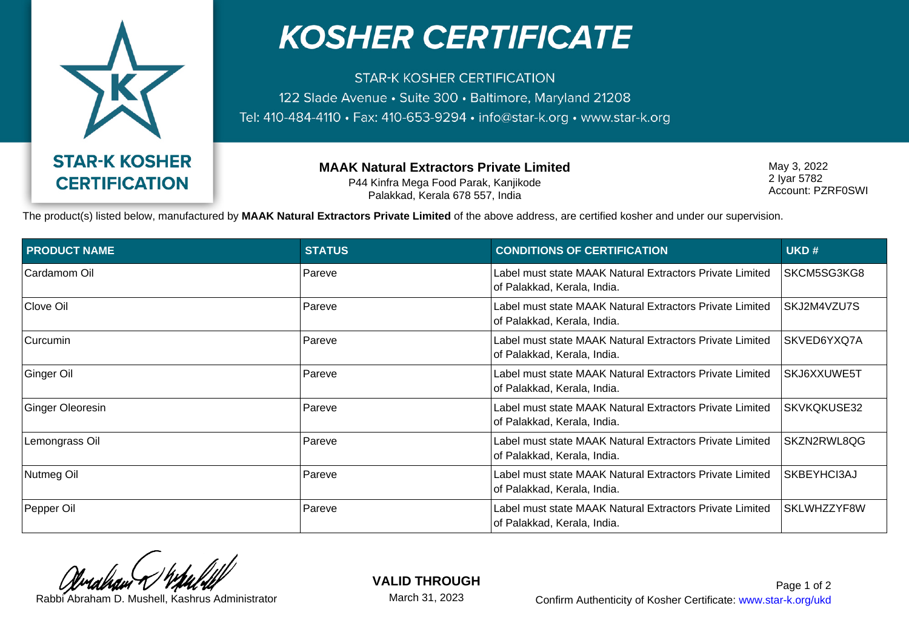

## **KOSHER CERTIFICATE**

**STAR-K KOSHER CERTIFICATION** 122 Slade Avenue · Suite 300 · Baltimore, Maryland 21208 Tel: 410-484-4110 • Fax: 410-653-9294 • info@star-k.org • www.star-k.org

> **MAAK Natural Extractors Private Limited** P44 Kinfra Mega Food Parak, Kanjikode Palakkad, Kerala 678 557, India

May 3, 2022 2 Iyar 5782 Account: PZRF0SWI

The product(s) listed below, manufactured by **MAAK Natural Extractors Private Limited** of the above address, are certified kosher and under our supervision.

| <b>PRODUCT NAME</b> | <b>STATUS</b> | <b>CONDITIONS OF CERTIFICATION</b>                                                      | UKD#        |
|---------------------|---------------|-----------------------------------------------------------------------------------------|-------------|
| Cardamom Oil        | Pareve        | Label must state MAAK Natural Extractors Private Limited<br>of Palakkad, Kerala, India. | SKCM5SG3KG8 |
| Clove Oil           | Pareve        | Label must state MAAK Natural Extractors Private Limited<br>of Palakkad, Kerala, India. | SKJ2M4VZU7S |
| Curcumin            | Pareve        | Label must state MAAK Natural Extractors Private Limited<br>of Palakkad, Kerala, India. | SKVED6YXQ7A |
| Ginger Oil          | Pareve        | Label must state MAAK Natural Extractors Private Limited<br>of Palakkad, Kerala, India. | SKJ6XXUWE5T |
| Ginger Oleoresin    | Pareve        | Label must state MAAK Natural Extractors Private Limited<br>of Palakkad, Kerala, India. | SKVKQKUSE32 |
| Lemongrass Oil      | Pareve        | Label must state MAAK Natural Extractors Private Limited<br>of Palakkad, Kerala, India. | SKZN2RWL8QG |
| Nutmeg Oil          | Pareve        | Label must state MAAK Natural Extractors Private Limited<br>of Palakkad, Kerala, India. | SKBEYHCI3AJ |
| Pepper Oil          | Pareve        | Label must state MAAK Natural Extractors Private Limited<br>of Palakkad, Kerala, India. | SKLWHZZYF8W |

**VALID THROUGH**

March 31, 2023